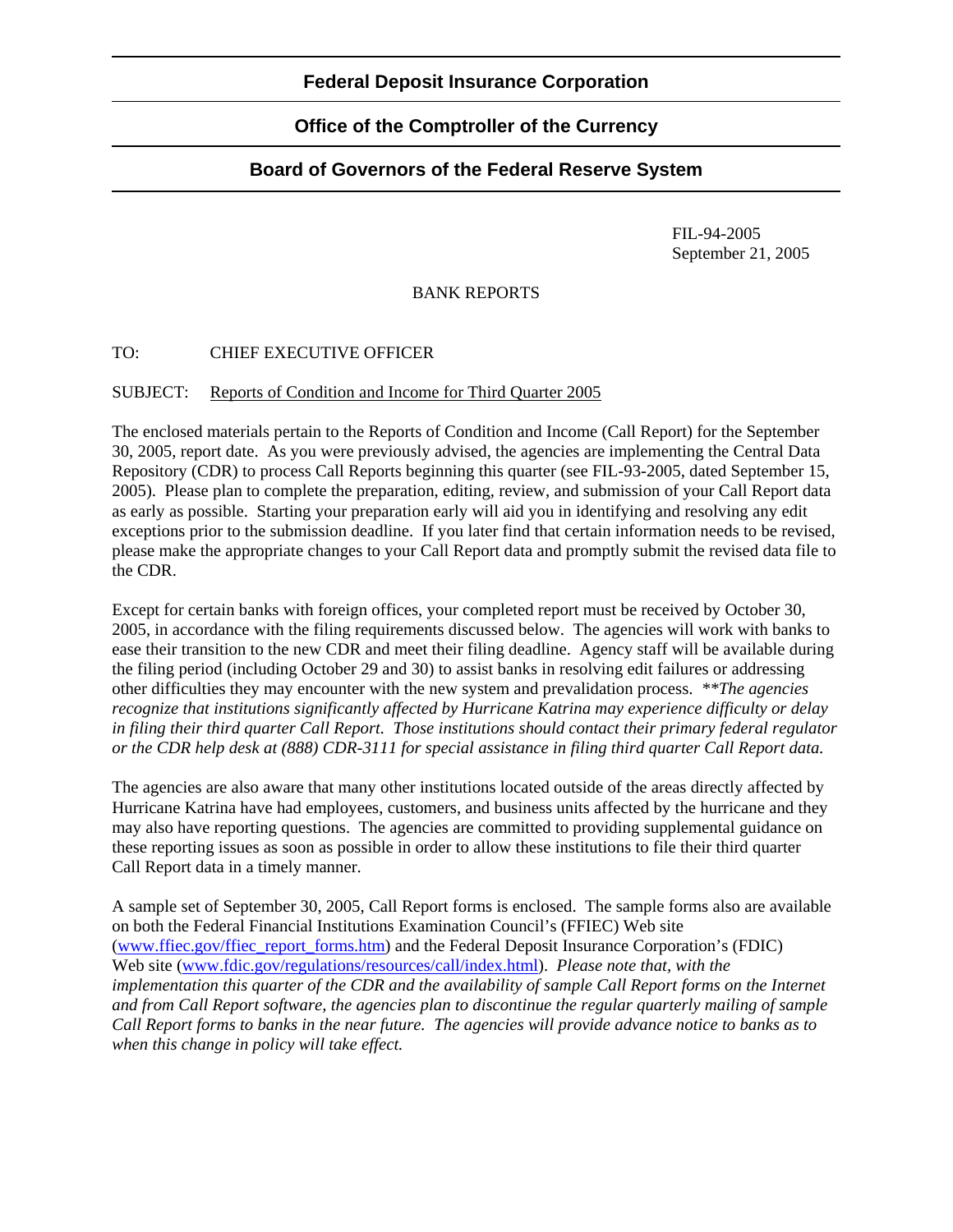### **Federal Deposit Insurance Corporation**

## **Office of the Comptroller of the Currency**

# **Board of Governors of the Federal Reserve System**

 FIL-94-2005 September 21, 2005

### BANK REPORTS

### TO: CHIEF EXECUTIVE OFFICER

#### SUBJECT: Reports of Condition and Income for Third Quarter 2005

The enclosed materials pertain to the Reports of Condition and Income (Call Report) for the September 30, 2005, report date. As you were previously advised, the agencies are implementing the Central Data Repository (CDR) to process Call Reports beginning this quarter (see FIL-93-2005, dated September 15, 2005). Please plan to complete the preparation, editing, review, and submission of your Call Report data as early as possible. Starting your preparation early will aid you in identifying and resolving any edit exceptions prior to the submission deadline. If you later find that certain information needs to be revised, please make the appropriate changes to your Call Report data and promptly submit the revised data file to the CDR.

Except for certain banks with foreign offices, your completed report must be received by October 30, 2005, in accordance with the filing requirements discussed below. The agencies will work with banks to ease their transition to the new CDR and meet their filing deadline. Agency staff will be available during the filing period (including October 29 and 30) to assist banks in resolving edit failures or addressing other difficulties they may encounter with the new system and prevalidation process. *\*\*The agencies recognize that institutions significantly affected by Hurricane Katrina may experience difficulty or delay in filing their third quarter Call Report. Those institutions should contact their primary federal regulator or the CDR help desk at (888) CDR-3111 for special assistance in filing third quarter Call Report data.* 

The agencies are also aware that many other institutions located outside of the areas directly affected by Hurricane Katrina have had employees, customers, and business units affected by the hurricane and they may also have reporting questions. The agencies are committed to providing supplemental guidance on these reporting issues as soon as possible in order to allow these institutions to file their third quarter Call Report data in a timely manner.

A sample set of September 30, 2005, Call Report forms is enclosed. The sample forms also are available on both the Federal Financial Institutions Examination Council's (FFIEC) Web site (www.ffiec.gov/ffiec\_report\_forms.htm) and the Federal Deposit Insurance Corporation's (FDIC) Web site [\(www.fdic.gov/regulations/resources/call/index.html\)](http://www.fdic.gov/regulations/resources/call/index.html). *Please note that, with the implementation this quarter of the CDR and the availability of sample Call Report forms on the Internet and from Call Report software, the agencies plan to discontinue the regular quarterly mailing of sample Call Report forms to banks in the near future. The agencies will provide advance notice to banks as to when this change in policy will take effect.*